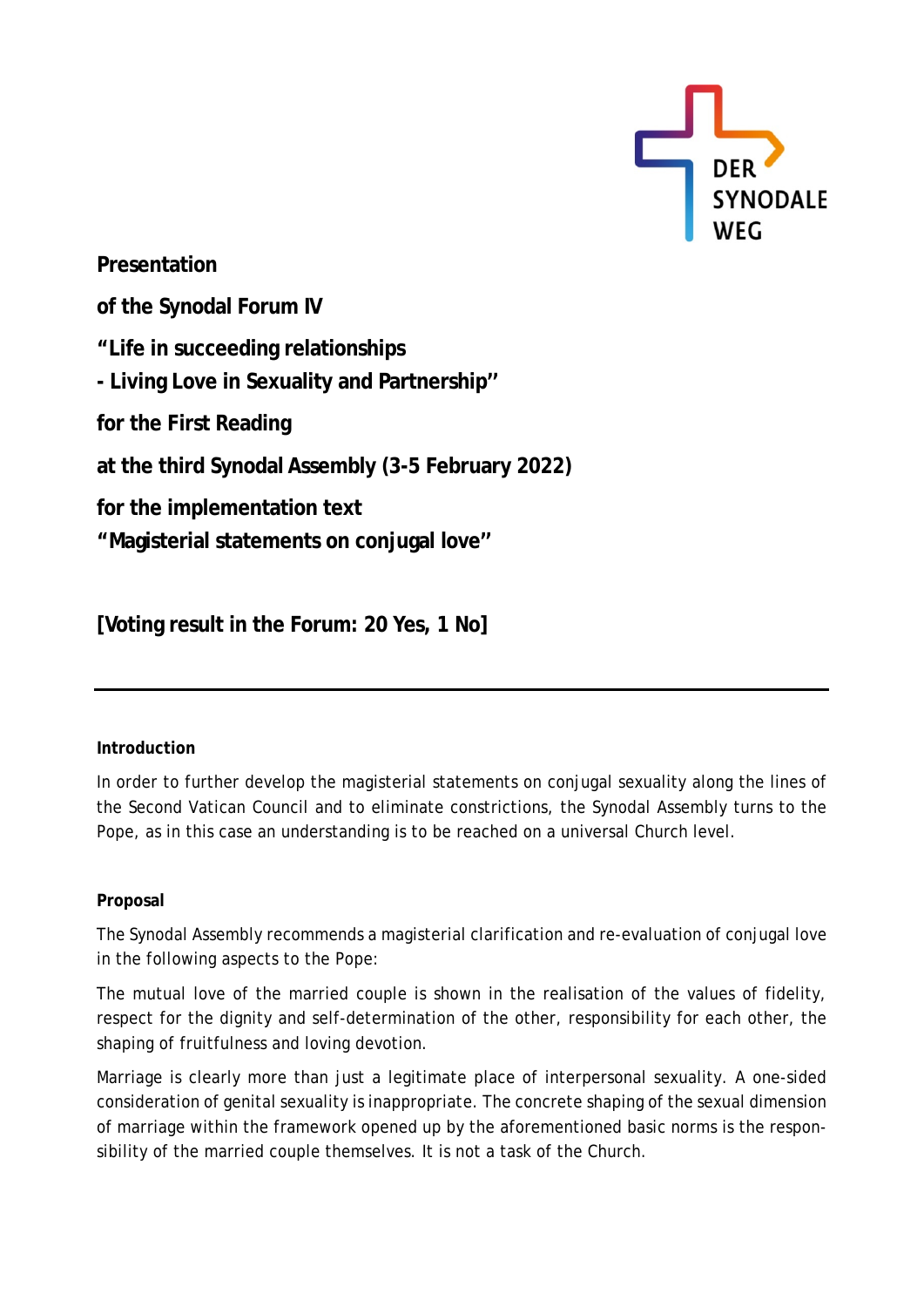

**Presentation of the Synodal Forum IV "Life in succeeding relationships - Living Love in Sexuality and Partnership'' for the First Reading at the third Synodal Assembly (3-5 February 2022) for the implementation text "Magisterial statements on conjugal love''**

**[Voting result in the Forum: 20 Yes, 1 No]**

## **Introduction**

In order to further develop the magisterial statements on conjugal sexuality along the lines of the Second Vatican Council and to eliminate constrictions, the Synodal Assembly turns to the Pope, as in this case an understanding is to be reached on a universal Church level.

## **Proposal**

The Synodal Assembly recommends a magisterial clarification and re-evaluation of conjugal love in the following aspects to the Pope:

The mutual love of the married couple is shown in the realisation of the values of fidelity, respect for the dignity and self-determination of the other, responsibility for each other, the shaping of fruitfulness and loving devotion.

Marriage is clearly more than just a legitimate place of interpersonal sexuality. A one-sided consideration of genital sexuality is inappropriate. The concrete shaping of the sexual dimension of marriage within the framework opened up by the aforementioned basic norms is the responsibility of the married couple themselves. It is not a task of the Church.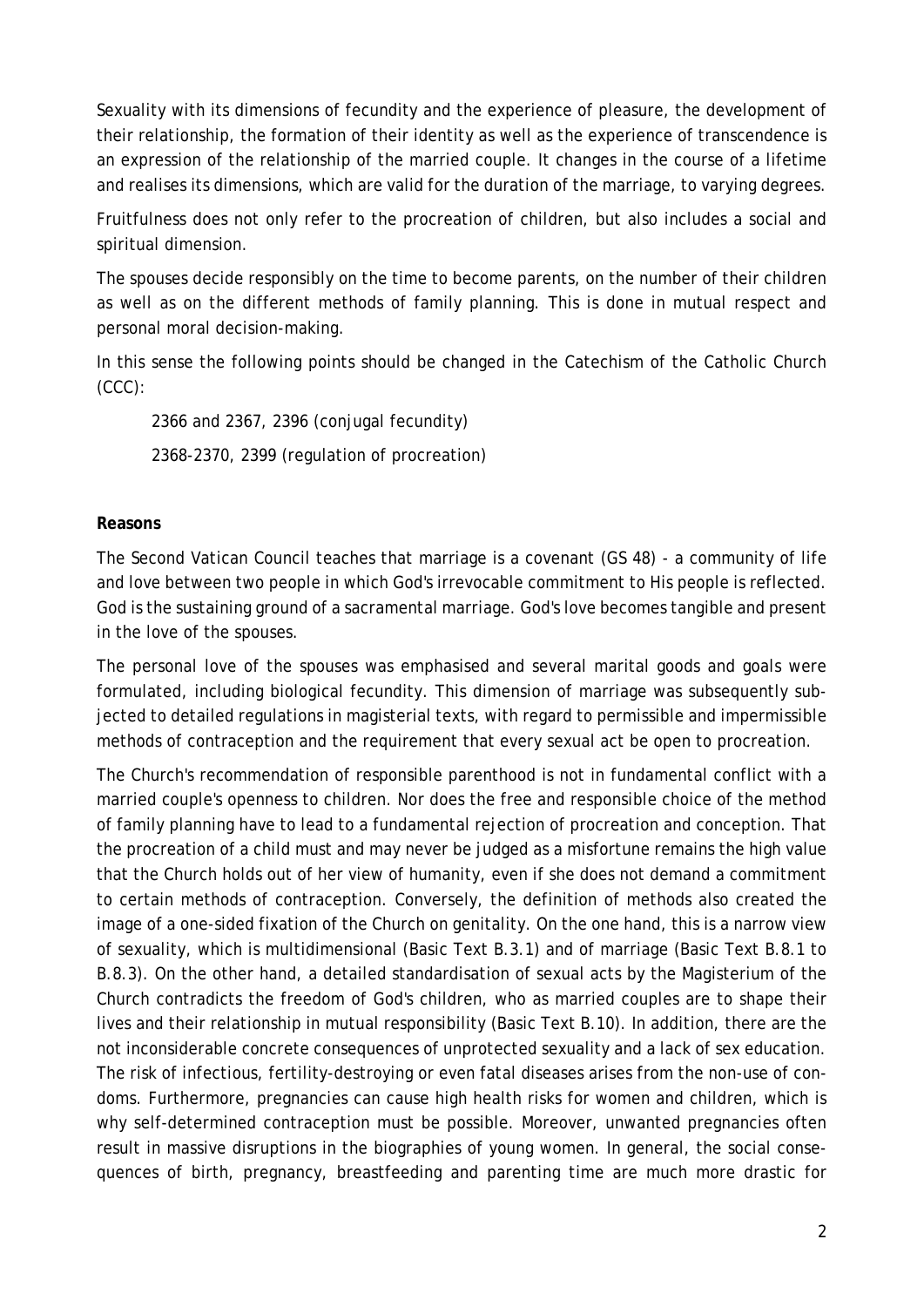Sexuality with its dimensions of fecundity and the experience of pleasure, the development of their relationship, the formation of their identity as well as the experience of transcendence is an expression of the relationship of the married couple. It changes in the course of a lifetime and realises its dimensions, which are valid for the duration of the marriage, to varying degrees.

Fruitfulness does not only refer to the procreation of children, but also includes a social and spiritual dimension.

The spouses decide responsibly on the time to become parents, on the number of their children as well as on the different methods of family planning. This is done in mutual respect and personal moral decision-making.

In this sense the following points should be changed in the Catechism of the Catholic Church (CCC):

2366 and 2367, 2396 (conjugal fecundity) 2368-2370, 2399 (regulation of procreation)

## **Reasons**

The Second Vatican Council teaches that marriage is a covenant (GS 48) - a community of life and love between two people in which God's irrevocable commitment to His people is reflected. God is the sustaining ground of a sacramental marriage. God's love becomes tangible and present in the love of the spouses.

The personal love of the spouses was emphasised and several marital goods and goals were formulated, including biological fecundity. This dimension of marriage was subsequently subjected to detailed regulations in magisterial texts, with regard to permissible and impermissible methods of contraception and the requirement that every sexual act be open to procreation.

The Church's recommendation of responsible parenthood is not in fundamental conflict with a married couple's openness to children. Nor does the free and responsible choice of the method of family planning have to lead to a fundamental rejection of procreation and conception. That the procreation of a child must and may never be judged as a misfortune remains the high value that the Church holds out of her view of humanity, even if she does not demand a commitment to certain methods of contraception. Conversely, the definition of methods also created the image of a one-sided fixation of the Church on genitality. On the one hand, this is a narrow view of sexuality, which is multidimensional (Basic Text B.3.1) and of marriage (Basic Text B.8.1 to B.8.3). On the other hand, a detailed standardisation of sexual acts by the Magisterium of the Church contradicts the freedom of God's children, who as married couples are to shape their lives and their relationship in mutual responsibility (Basic Text B.10). In addition, there are the not inconsiderable concrete consequences of unprotected sexuality and a lack of sex education. The risk of infectious, fertility-destroying or even fatal diseases arises from the non-use of condoms. Furthermore, pregnancies can cause high health risks for women and children, which is why self-determined contraception must be possible. Moreover, unwanted pregnancies often result in massive disruptions in the biographies of young women. In general, the social consequences of birth, pregnancy, breastfeeding and parenting time are much more drastic for